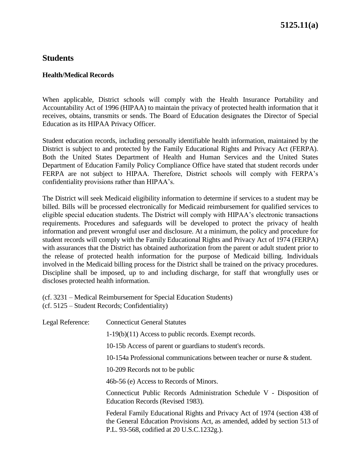## **Students**

#### **Health/Medical Records**

When applicable, District schools will comply with the Health Insurance Portability and Accountability Act of 1996 (HIPAA) to maintain the privacy of protected health information that it receives, obtains, transmits or sends. The Board of Education designates the Director of Special Education as its HIPAA Privacy Officer.

Student education records, including personally identifiable health information, maintained by the District is subject to and protected by the Family Educational Rights and Privacy Act (FERPA). Both the United States Department of Health and Human Services and the United States Department of Education Family Policy Compliance Office have stated that student records under FERPA are not subject to HIPAA. Therefore, District schools will comply with FERPA's confidentiality provisions rather than HIPAA's.

The District will seek Medicaid eligibility information to determine if services to a student may be billed. Bills will be processed electronically for Medicaid reimbursement for qualified services to eligible special education students. The District will comply with HIPAA's electronic transactions requirements. Procedures and safeguards will be developed to protect the privacy of health information and prevent wrongful user and disclosure. At a minimum, the policy and procedure for student records will comply with the Family Educational Rights and Privacy Act of 1974 (FERPA) with assurances that the District has obtained authorization from the parent or adult student prior to the release of protected health information for the purpose of Medicaid billing. Individuals involved in the Medicaid billing process for the District shall be trained on the privacy procedures. Discipline shall be imposed, up to and including discharge, for staff that wrongfully uses or discloses protected health information.

(cf. 3231 – Medical Reimbursement for Special Education Students) (cf. 5125 – Student Records; Confidentiality)

| Legal Reference: | <b>Connecticut General Statutes</b>                                                                                                                                                                  |
|------------------|------------------------------------------------------------------------------------------------------------------------------------------------------------------------------------------------------|
|                  | $1-19(b)(11)$ Access to public records. Exempt records.                                                                                                                                              |
|                  | 10-15b Access of parent or guardians to student's records.                                                                                                                                           |
|                  | 10-154a Professional communications between teacher or nurse & student.                                                                                                                              |
|                  | 10-209 Records not to be public                                                                                                                                                                      |
|                  | 46b-56 (e) Access to Records of Minors.                                                                                                                                                              |
|                  | Connecticut Public Records Administration Schedule V - Disposition of<br>Education Records (Revised 1983).                                                                                           |
|                  | Federal Family Educational Rights and Privacy Act of 1974 (section 438 of<br>the General Education Provisions Act, as amended, added by section 513 of<br>P.L. 93-568, codified at 20 U.S.C.1232g.). |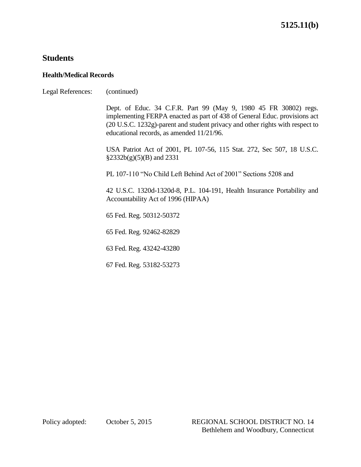# **Students**

## **Health/Medical Records**

| Legal References: | (continued)                                                                                                                                                                                                                                                                 |
|-------------------|-----------------------------------------------------------------------------------------------------------------------------------------------------------------------------------------------------------------------------------------------------------------------------|
|                   | Dept. of Educ. 34 C.F.R. Part 99 (May 9, 1980 45 FR 30802) regs.<br>implementing FERPA enacted as part of 438 of General Educ. provisions act<br>(20 U.S.C. 1232g)-parent and student privacy and other rights with respect to<br>educational records, as amended 11/21/96. |
|                   | USA Patriot Act of 2001, PL 107-56, 115 Stat. 272, Sec 507, 18 U.S.C.<br>$\S 2332b(g)(5)(B)$ and 2331                                                                                                                                                                       |
|                   | PL 107-110 "No Child Left Behind Act of 2001" Sections 5208 and                                                                                                                                                                                                             |
|                   | 42 U.S.C. 1320d-1320d-8, P.L. 104-191, Health Insurance Portability and<br>Accountability Act of 1996 (HIPAA)                                                                                                                                                               |
|                   | 65 Fed. Reg. 50312-50372                                                                                                                                                                                                                                                    |
|                   | 65 Fed. Reg. 92462-82829                                                                                                                                                                                                                                                    |
|                   | 63 Fed. Reg. 43242-43280                                                                                                                                                                                                                                                    |
|                   | 67 Fed. Reg. 53182-53273                                                                                                                                                                                                                                                    |
|                   |                                                                                                                                                                                                                                                                             |